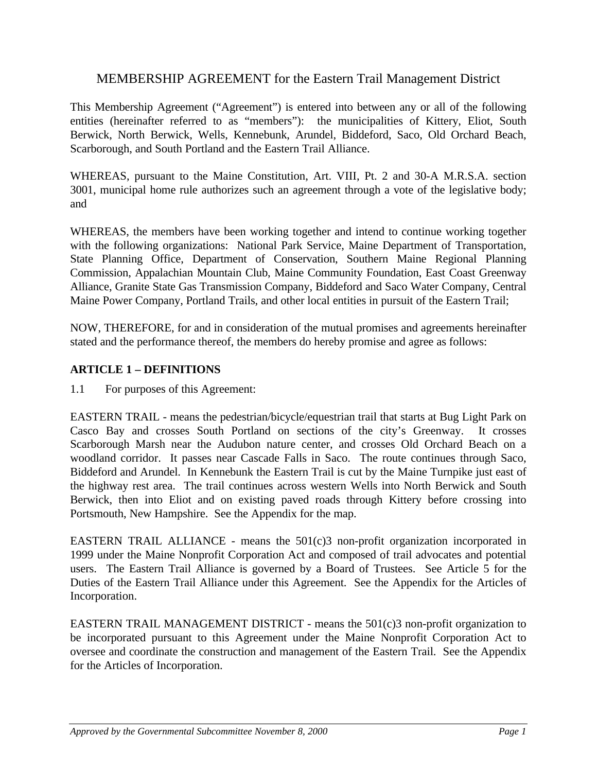# MEMBERSHIP AGREEMENT for the Eastern Trail Management District

This Membership Agreement ("Agreement") is entered into between any or all of the following entities (hereinafter referred to as "members"): the municipalities of Kittery, Eliot, South Berwick, North Berwick, Wells, Kennebunk, Arundel, Biddeford, Saco, Old Orchard Beach, Scarborough, and South Portland and the Eastern Trail Alliance.

WHEREAS, pursuant to the Maine Constitution, Art. VIII, Pt. 2 and 30-A M.R.S.A. section 3001, municipal home rule authorizes such an agreement through a vote of the legislative body; and

WHEREAS, the members have been working together and intend to continue working together with the following organizations: National Park Service, Maine Department of Transportation, State Planning Office, Department of Conservation, Southern Maine Regional Planning Commission, Appalachian Mountain Club, Maine Community Foundation, East Coast Greenway Alliance, Granite State Gas Transmission Company, Biddeford and Saco Water Company, Central Maine Power Company, Portland Trails, and other local entities in pursuit of the Eastern Trail;

NOW, THEREFORE, for and in consideration of the mutual promises and agreements hereinafter stated and the performance thereof, the members do hereby promise and agree as follows:

### **ARTICLE 1 – DEFINITIONS**

1.1 For purposes of this Agreement:

EASTERN TRAIL - means the pedestrian/bicycle/equestrian trail that starts at Bug Light Park on Casco Bay and crosses South Portland on sections of the city's Greenway. It crosses Scarborough Marsh near the Audubon nature center, and crosses Old Orchard Beach on a woodland corridor. It passes near Cascade Falls in Saco. The route continues through Saco, Biddeford and Arundel. In Kennebunk the Eastern Trail is cut by the Maine Turnpike just east of the highway rest area. The trail continues across western Wells into North Berwick and South Berwick, then into Eliot and on existing paved roads through Kittery before crossing into Portsmouth, New Hampshire. See the Appendix for the map.

EASTERN TRAIL ALLIANCE - means the  $501(c)3$  non-profit organization incorporated in 1999 under the Maine Nonprofit Corporation Act and composed of trail advocates and potential users. The Eastern Trail Alliance is governed by a Board of Trustees. See Article 5 for the Duties of the Eastern Trail Alliance under this Agreement. See the Appendix for the Articles of Incorporation.

EASTERN TRAIL MANAGEMENT DISTRICT - means the  $501(c)3$  non-profit organization to be incorporated pursuant to this Agreement under the Maine Nonprofit Corporation Act to oversee and coordinate the construction and management of the Eastern Trail. See the Appendix for the Articles of Incorporation.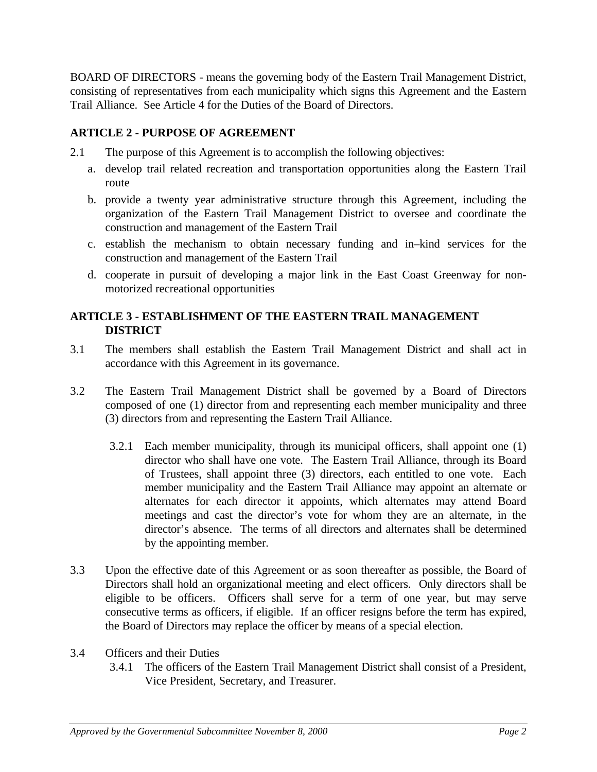BOARD OF DIRECTORS - means the governing body of the Eastern Trail Management District, consisting of representatives from each municipality which signs this Agreement and the Eastern Trail Alliance. See Article 4 for the Duties of the Board of Directors.

### **ARTICLE 2 - PURPOSE OF AGREEMENT**

- 2.1 The purpose of this Agreement is to accomplish the following objectives:
	- a. develop trail related recreation and transportation opportunities along the Eastern Trail route
	- b. provide a twenty year administrative structure through this Agreement, including the organization of the Eastern Trail Management District to oversee and coordinate the construction and management of the Eastern Trail
	- c. establish the mechanism to obtain necessary funding and in–kind services for the construction and management of the Eastern Trail
	- d. cooperate in pursuit of developing a major link in the East Coast Greenway for nonmotorized recreational opportunities

### **ARTICLE 3 - ESTABLISHMENT OF THE EASTERN TRAIL MANAGEMENT DISTRICT**

- 3.1 The members shall establish the Eastern Trail Management District and shall act in accordance with this Agreement in its governance.
- 3.2 The Eastern Trail Management District shall be governed by a Board of Directors composed of one (1) director from and representing each member municipality and three (3) directors from and representing the Eastern Trail Alliance.
	- 3.2.1 Each member municipality, through its municipal officers, shall appoint one (1) director who shall have one vote. The Eastern Trail Alliance, through its Board of Trustees, shall appoint three (3) directors, each entitled to one vote. Each member municipality and the Eastern Trail Alliance may appoint an alternate or alternates for each director it appoints, which alternates may attend Board meetings and cast the director's vote for whom they are an alternate, in the director's absence. The terms of all directors and alternates shall be determined by the appointing member.
- 3.3 Upon the effective date of this Agreement or as soon thereafter as possible, the Board of Directors shall hold an organizational meeting and elect officers. Only directors shall be eligible to be officers. Officers shall serve for a term of one year, but may serve consecutive terms as officers, if eligible. If an officer resigns before the term has expired, the Board of Directors may replace the officer by means of a special election.
- 3.4 Officers and their Duties
	- 3.4.1 The officers of the Eastern Trail Management District shall consist of a President, Vice President, Secretary, and Treasurer.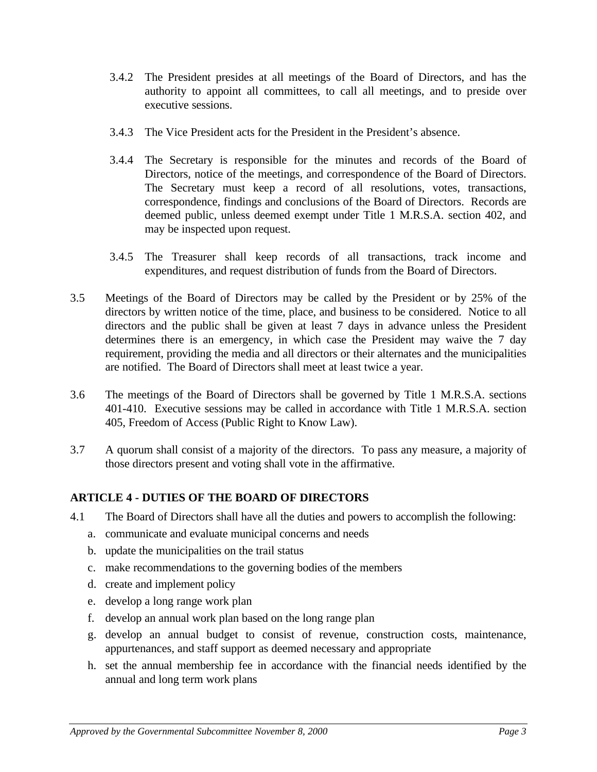- 3.4.2 The President presides at all meetings of the Board of Directors, and has the authority to appoint all committees, to call all meetings, and to preside over executive sessions.
- 3.4.3 The Vice President acts for the President in the President's absence.
- 3.4.4 The Secretary is responsible for the minutes and records of the Board of Directors, notice of the meetings, and correspondence of the Board of Directors. The Secretary must keep a record of all resolutions, votes, transactions, correspondence, findings and conclusions of the Board of Directors. Records are deemed public, unless deemed exempt under Title 1 M.R.S.A. section 402, and may be inspected upon request.
- 3.4.5 The Treasurer shall keep records of all transactions, track income and expenditures, and request distribution of funds from the Board of Directors.
- 3.5 Meetings of the Board of Directors may be called by the President or by 25% of the directors by written notice of the time, place, and business to be considered. Notice to all directors and the public shall be given at least 7 days in advance unless the President determines there is an emergency, in which case the President may waive the 7 day requirement, providing the media and all directors or their alternates and the municipalities are notified. The Board of Directors shall meet at least twice a year.
- 3.6 The meetings of the Board of Directors shall be governed by Title 1 M.R.S.A. sections 401-410. Executive sessions may be called in accordance with Title 1 M.R.S.A. section 405, Freedom of Access (Public Right to Know Law).
- 3.7 A quorum shall consist of a majority of the directors. To pass any measure, a majority of those directors present and voting shall vote in the affirmative.

### **ARTICLE 4 - DUTIES OF THE BOARD OF DIRECTORS**

- 4.1 The Board of Directors shall have all the duties and powers to accomplish the following:
	- a. communicate and evaluate municipal concerns and needs
	- b. update the municipalities on the trail status
	- c. make recommendations to the governing bodies of the members
	- d. create and implement policy
	- e. develop a long range work plan
	- f. develop an annual work plan based on the long range plan
	- g. develop an annual budget to consist of revenue, construction costs, maintenance, appurtenances, and staff support as deemed necessary and appropriate
	- h. set the annual membership fee in accordance with the financial needs identified by the annual and long term work plans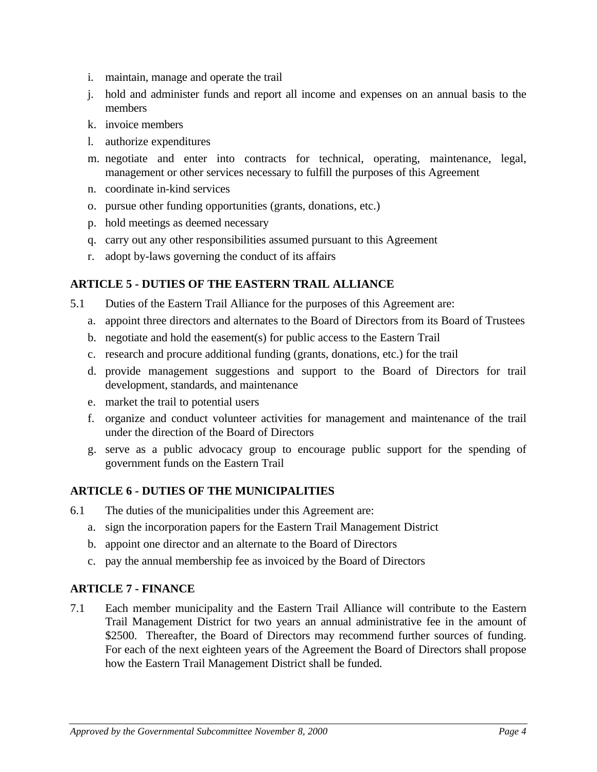- i. maintain, manage and operate the trail
- j. hold and administer funds and report all income and expenses on an annual basis to the members
- k. invoice members
- l. authorize expenditures
- m. negotiate and enter into contracts for technical, operating, maintenance, legal, management or other services necessary to fulfill the purposes of this Agreement
- n. coordinate in-kind services
- o. pursue other funding opportunities (grants, donations, etc.)
- p. hold meetings as deemed necessary
- q. carry out any other responsibilities assumed pursuant to this Agreement
- r. adopt by-laws governing the conduct of its affairs

# **ARTICLE 5 - DUTIES OF THE EASTERN TRAIL ALLIANCE**

- 5.1 Duties of the Eastern Trail Alliance for the purposes of this Agreement are:
	- a. appoint three directors and alternates to the Board of Directors from its Board of Trustees
	- b. negotiate and hold the easement(s) for public access to the Eastern Trail
	- c. research and procure additional funding (grants, donations, etc.) for the trail
	- d. provide management suggestions and support to the Board of Directors for trail development, standards, and maintenance
	- e. market the trail to potential users
	- f. organize and conduct volunteer activities for management and maintenance of the trail under the direction of the Board of Directors
	- g. serve as a public advocacy group to encourage public support for the spending of government funds on the Eastern Trail

## **ARTICLE 6 - DUTIES OF THE MUNICIPALITIES**

- 6.1 The duties of the municipalities under this Agreement are:
	- a. sign the incorporation papers for the Eastern Trail Management District
	- b. appoint one director and an alternate to the Board of Directors
	- c. pay the annual membership fee as invoiced by the Board of Directors

## **ARTICLE 7 - FINANCE**

7.1 Each member municipality and the Eastern Trail Alliance will contribute to the Eastern Trail Management District for two years an annual administrative fee in the amount of \$2500. Thereafter, the Board of Directors may recommend further sources of funding. For each of the next eighteen years of the Agreement the Board of Directors shall propose how the Eastern Trail Management District shall be funded.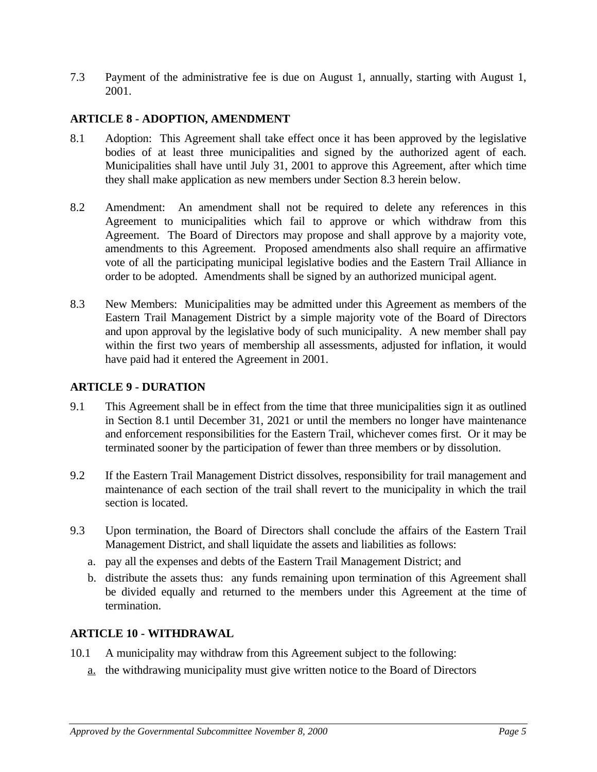7.3 Payment of the administrative fee is due on August 1, annually, starting with August 1, 2001.

### **ARTICLE 8 - ADOPTION, AMENDMENT**

- 8.1 Adoption: This Agreement shall take effect once it has been approved by the legislative bodies of at least three municipalities and signed by the authorized agent of each. Municipalities shall have until July 31, 2001 to approve this Agreement, after which time they shall make application as new members under Section 8.3 herein below.
- 8.2 Amendment: An amendment shall not be required to delete any references in this Agreement to municipalities which fail to approve or which withdraw from this Agreement. The Board of Directors may propose and shall approve by a majority vote, amendments to this Agreement. Proposed amendments also shall require an affirmative vote of all the participating municipal legislative bodies and the Eastern Trail Alliance in order to be adopted. Amendments shall be signed by an authorized municipal agent.
- 8.3 New Members: Municipalities may be admitted under this Agreement as members of the Eastern Trail Management District by a simple majority vote of the Board of Directors and upon approval by the legislative body of such municipality. A new member shall pay within the first two years of membership all assessments, adjusted for inflation, it would have paid had it entered the Agreement in 2001.

### **ARTICLE 9 - DURATION**

- 9.1 This Agreement shall be in effect from the time that three municipalities sign it as outlined in Section 8.1 until December 31, 2021 or until the members no longer have maintenance and enforcement responsibilities for the Eastern Trail, whichever comes first. Or it may be terminated sooner by the participation of fewer than three members or by dissolution.
- 9.2 If the Eastern Trail Management District dissolves, responsibility for trail management and maintenance of each section of the trail shall revert to the municipality in which the trail section is located.
- 9.3 Upon termination, the Board of Directors shall conclude the affairs of the Eastern Trail Management District, and shall liquidate the assets and liabilities as follows:
	- a. pay all the expenses and debts of the Eastern Trail Management District; and
	- b. distribute the assets thus: any funds remaining upon termination of this Agreement shall be divided equally and returned to the members under this Agreement at the time of termination.

### **ARTICLE 10 - WITHDRAWAL**

- 10.1 A municipality may withdraw from this Agreement subject to the following:
	- a. the withdrawing municipality must give written notice to the Board of Directors